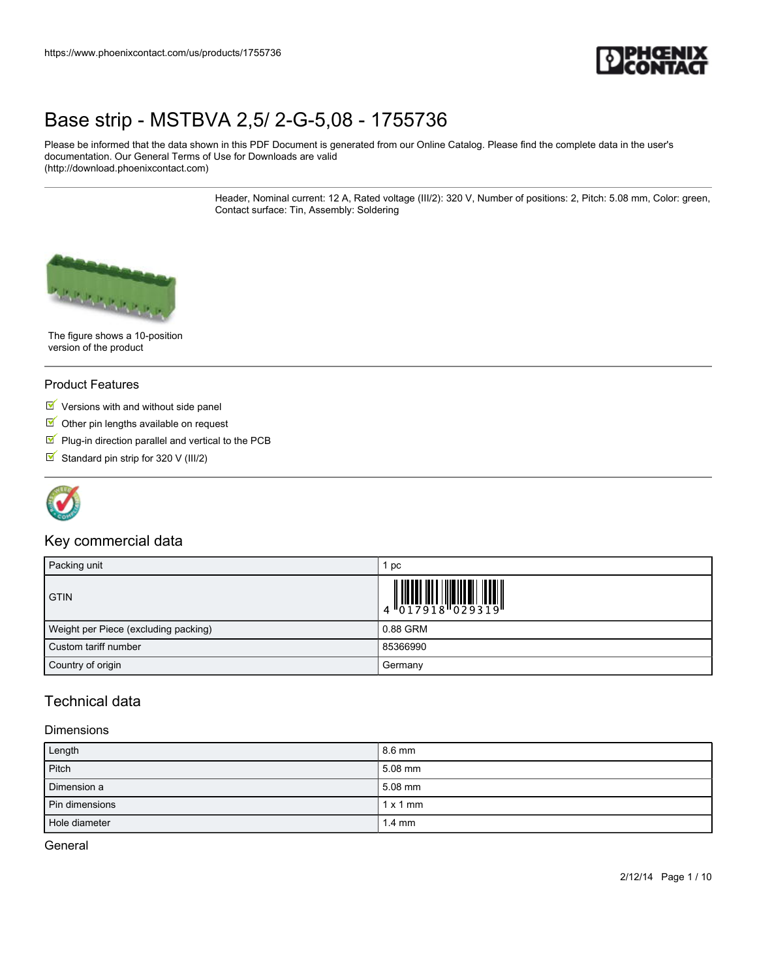

Please be informed that the data shown in this PDF Document is generated from our Online Catalog. Please find the complete data in the user's documentation. Our General Terms of Use for Downloads are valid (http://download.phoenixcontact.com)

> Header, Nominal current: 12 A, Rated voltage (III/2): 320 V, Number of positions: 2, Pitch: 5.08 mm, Color: green, Contact surface: Tin, Assembly: Soldering



The figure shows a 10-position version of the product

### Product Features

- $\triangleright$  Versions with and without side panel
- $\blacksquare$  Other pin lengths available on request
- $\blacksquare$  Plug-in direction parallel and vertical to the PCB
- Standard pin strip for 320 V (III/2)



### Key commercial data

| Packing unit                         | pc                                                                                                                                                                                                                                                                                                                       |
|--------------------------------------|--------------------------------------------------------------------------------------------------------------------------------------------------------------------------------------------------------------------------------------------------------------------------------------------------------------------------|
| <b>GTIN</b>                          | $\begin{array}{c} 1 & 0 & 0 & 0 & 0 \\ 0 & 0 & 1 & 7 & 9 & 1 & 8 \\ 0 & 0 & 0 & 0 & 1 & 9 & 1 \\ 0 & 0 & 0 & 0 & 0 & 0 & 0 \\ 0 & 0 & 0 & 0 & 0 & 0 & 0 \\ 0 & 0 & 0 & 0 & 0 & 0 & 0 \\ 0 & 0 & 0 & 0 & 0 & 0 & 0 \\ 0 & 0 & 0 & 0 & 0 & 0 & 0 \\ 0 & 0 & 0 & 0 & 0 & 0 & 0 & 0 \\ 0 & 0 & 0 & 0 & 0 & 0 & 0 & 0 \\ 0 &$ |
| Weight per Piece (excluding packing) | 0.88 GRM                                                                                                                                                                                                                                                                                                                 |
| Custom tariff number                 | 85366990                                                                                                                                                                                                                                                                                                                 |
| Country of origin                    | Germany                                                                                                                                                                                                                                                                                                                  |

## Technical data

#### **Dimensions**

| Length         | 8.6 mm           |
|----------------|------------------|
| Pitch          | $5.08$ mm        |
| Dimension a    | 5.08 mm          |
| Pin dimensions | $1 \times 1$ mm  |
| Hole diameter  | $1.4 \text{ mm}$ |

General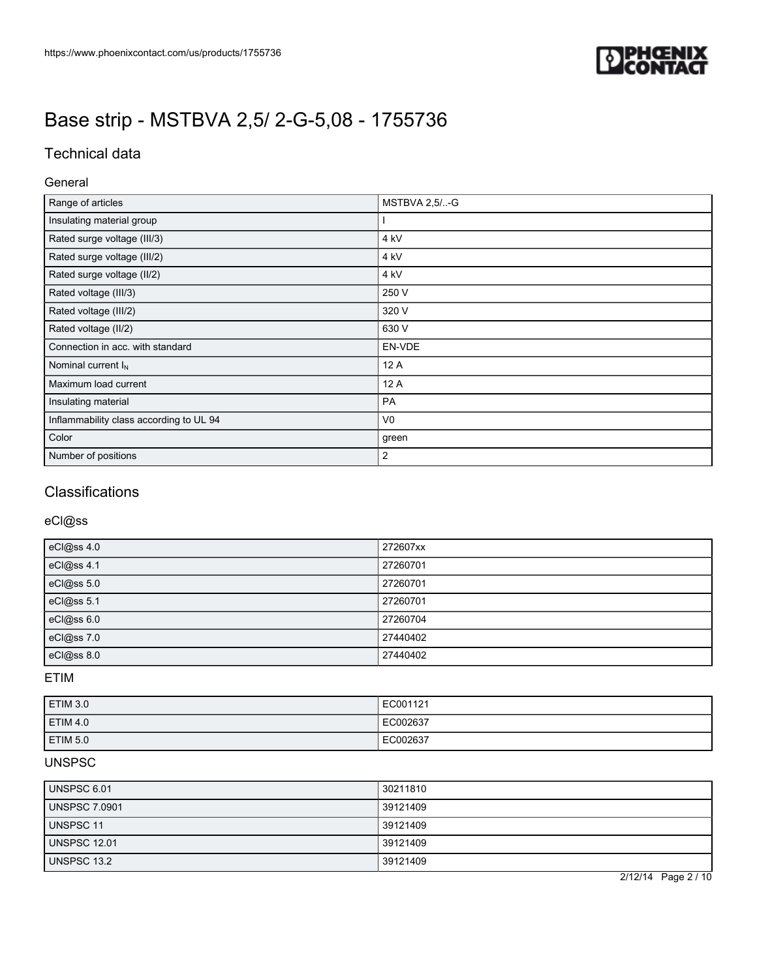

# Technical data

### General

| Range of articles                       | MSTBVA 2,5/-G   |
|-----------------------------------------|-----------------|
| Insulating material group               |                 |
| Rated surge voltage (III/3)             | 4 <sub>kV</sub> |
| Rated surge voltage (III/2)             | 4 kV            |
| Rated surge voltage (II/2)              | 4 kV            |
| Rated voltage (III/3)                   | 250 V           |
| Rated voltage (III/2)                   | 320 V           |
| Rated voltage (II/2)                    | 630 V           |
| Connection in acc. with standard        | EN-VDE          |
| Nominal current $I_N$                   | 12 A            |
| Maximum load current                    | 12 A            |
| Insulating material                     | PA              |
| Inflammability class according to UL 94 | V <sub>0</sub>  |
| Color                                   | green           |
| Number of positions                     | $\overline{2}$  |

## **Classifications**

## eCl@ss

| eCl@ss 4.0 | 272607xx |
|------------|----------|
| eCl@ss 4.1 | 27260701 |
| eCl@ss 5.0 | 27260701 |
| eCl@ss 5.1 | 27260701 |
| eCl@ss 6.0 | 27260704 |
| eCl@ss 7.0 | 27440402 |
| eCl@ss 8.0 | 27440402 |

### ETIM

| <b>ETIM 3.0</b>     | EC001121 |
|---------------------|----------|
| <b>ETIM 4.0</b>     | EC002637 |
| ETIM <sub>5.0</sub> | EC002637 |

## UNSPSC

| UNSPSC 6.01          | 30211810 |
|----------------------|----------|
| <b>UNSPSC 7.0901</b> | 39121409 |
| UNSPSC 11            | 39121409 |
| <b>UNSPSC 12.01</b>  | 39121409 |
| UNSPSC 13.2          | 39121409 |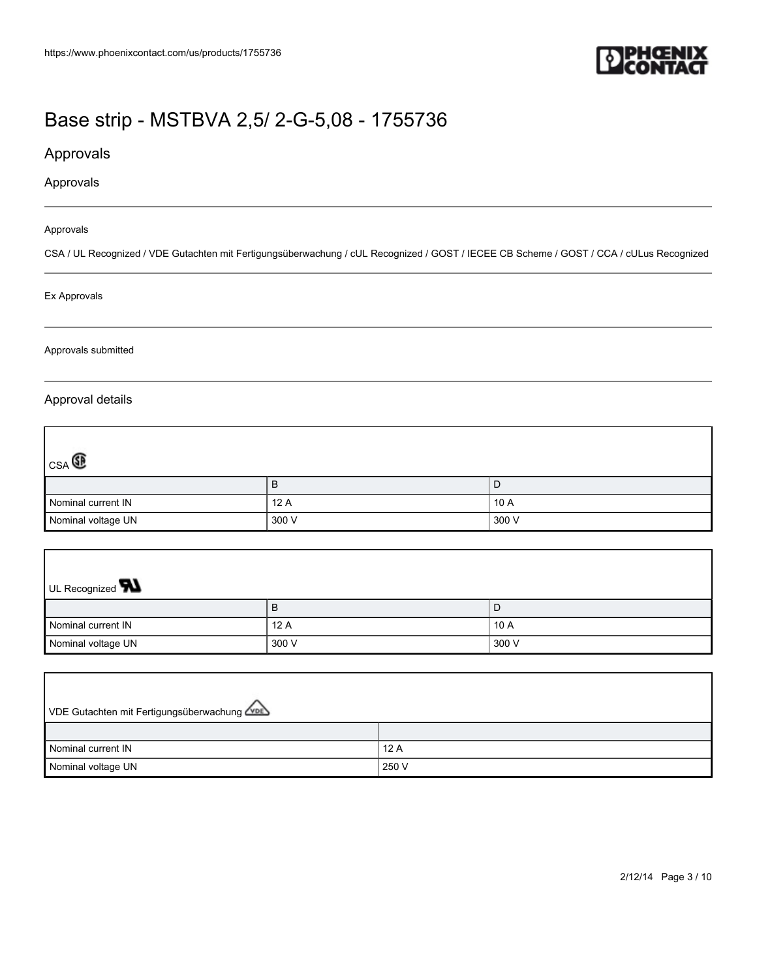

## Approvals

### Approvals

#### Approvals

CSA / UL Recognized / VDE Gutachten mit Fertigungsüberwachung / cUL Recognized / GOST / IECEE CB Scheme / GOST / CCA / cULus Recognized

#### Ex Approvals

#### Approvals submitted

### Approval details

| $_{CSA}$           |       |        |
|--------------------|-------|--------|
|                    | в     | D      |
| Nominal current IN | 12 A  | ' 10 A |
| Nominal voltage UN | 300 V | 300 V  |

| UL Recognized <b>W</b> |       |       |
|------------------------|-------|-------|
|                        | в     | l D   |
| Nominal current IN     | 12A   | 10A   |
| Nominal voltage UN     | 300 V | 300 V |

| VDE Gutachten mit Fertigungsüberwachung |       |
|-----------------------------------------|-------|
|                                         |       |
| Nominal current IN                      | 12A   |
| Nominal voltage UN                      | 250 V |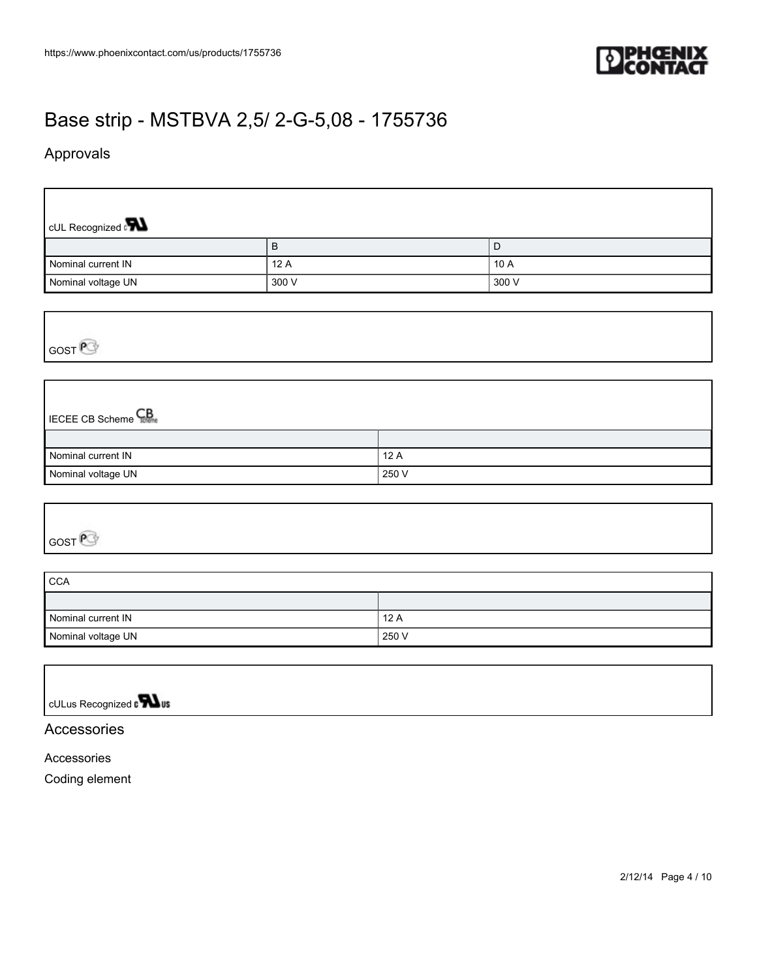

## Approvals

 $\Gamma$ 

| CUL Recognized $\mathbf{R}$ |       |        |
|-----------------------------|-------|--------|
|                             | B     | D      |
| Nominal current IN          | 12A   | ' 10 A |
| Nominal voltage UN          | 300 V | 300 V  |

GOST<sup>P</sup>

# **IECEE CB Scheme** CB

| Nominal current IN | 12 A  |
|--------------------|-------|
| Nominal voltage UN | 250 V |

GOST<sup>P</sup>

| <b>CCA</b>         |       |
|--------------------|-------|
|                    |       |
| Nominal current IN | 12A   |
| Nominal voltage UN | 250 V |

| $\vert$ cULus Recognized <b>N</b> us |  |
|--------------------------------------|--|

## Accessories

Accessories

Coding element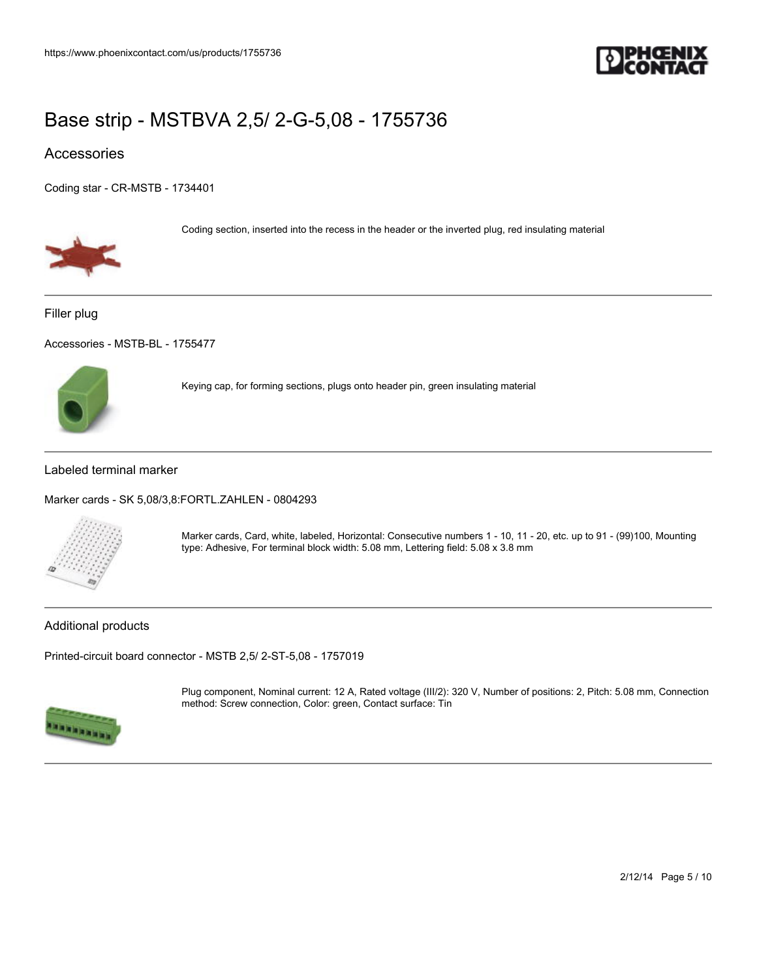

## Accessories

[Coding star - CR-MSTB - 1734401](https://www.phoenixcontact.com/us/products/1734401)



Coding section, inserted into the recess in the header or the inverted plug, red insulating material

Filler plug

[Accessories - MSTB-BL - 1755477](https://www.phoenixcontact.com/us/products/1755477)



Keying cap, for forming sections, plugs onto header pin, green insulating material

### Labeled terminal marker

[Marker cards - SK 5,08/3,8:FORTL.ZAHLEN - 0804293](https://www.phoenixcontact.com/us/products/0804293)



Marker cards, Card, white, labeled, Horizontal: Consecutive numbers 1 - 10, 11 - 20, etc. up to 91 - (99)100, Mounting type: Adhesive, For terminal block width: 5.08 mm, Lettering field: 5.08 x 3.8 mm

### Additional products

[Printed-circuit board connector - MSTB 2,5/ 2-ST-5,08 - 1757019](https://www.phoenixcontact.com/us/products/1757019)



Plug component, Nominal current: 12 A, Rated voltage (III/2): 320 V, Number of positions: 2, Pitch: 5.08 mm, Connection method: Screw connection, Color: green, Contact surface: Tin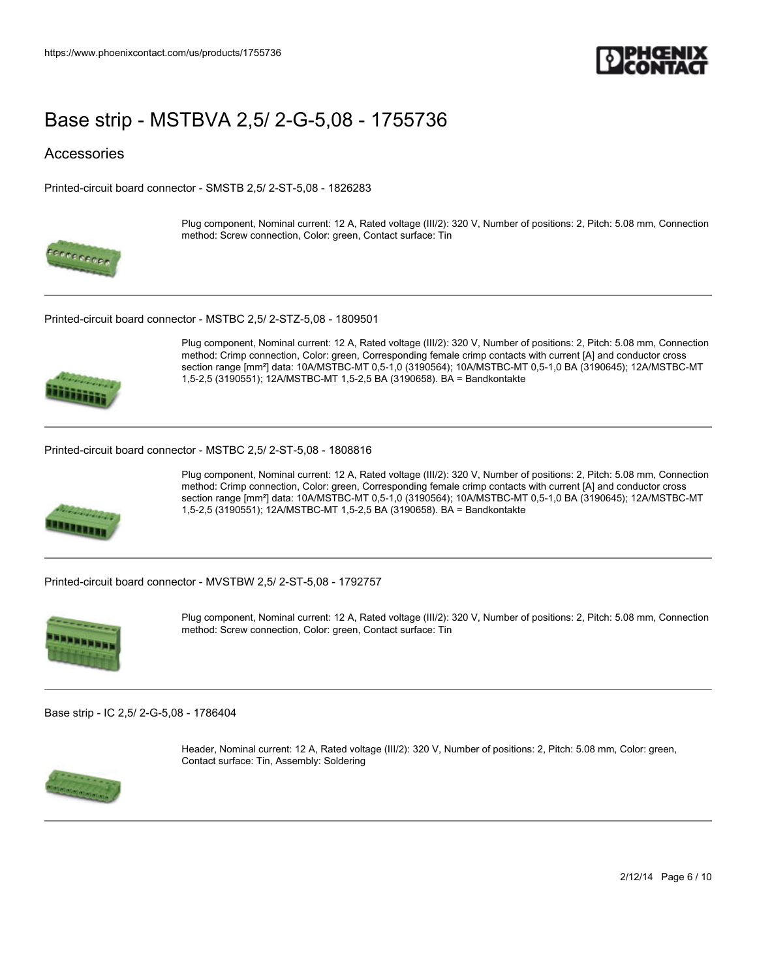

### **Accessories**

[Printed-circuit board connector - SMSTB 2,5/ 2-ST-5,08 - 1826283](https://www.phoenixcontact.com/us/products/1826283)



Plug component, Nominal current: 12 A, Rated voltage (III/2): 320 V, Number of positions: 2, Pitch: 5.08 mm, Connection method: Screw connection, Color: green, Contact surface: Tin

[Printed-circuit board connector - MSTBC 2,5/ 2-STZ-5,08 - 1809501](https://www.phoenixcontact.com/us/products/1809501)



Plug component, Nominal current: 12 A, Rated voltage (III/2): 320 V, Number of positions: 2, Pitch: 5.08 mm, Connection method: Crimp connection, Color: green, Corresponding female crimp contacts with current [A] and conductor cross section range [mm²] data: 10A/MSTBC-MT 0,5-1,0 (3190564); 10A/MSTBC-MT 0,5-1,0 BA (3190645); 12A/MSTBC-MT 1,5-2,5 (3190551); 12A/MSTBC-MT 1,5-2,5 BA (3190658). BA = Bandkontakte

#### [Printed-circuit board connector - MSTBC 2,5/ 2-ST-5,08 - 1808816](https://www.phoenixcontact.com/us/products/1808816)



Plug component, Nominal current: 12 A, Rated voltage (III/2): 320 V, Number of positions: 2, Pitch: 5.08 mm, Connection method: Crimp connection, Color: green, Corresponding female crimp contacts with current [A] and conductor cross section range [mm²] data: 10A/MSTBC-MT 0,5-1,0 (3190564); 10A/MSTBC-MT 0,5-1,0 BA (3190645); 12A/MSTBC-MT 1,5-2,5 (3190551); 12A/MSTBC-MT 1,5-2,5 BA (3190658). BA = Bandkontakte

[Printed-circuit board connector - MVSTBW 2,5/ 2-ST-5,08 - 1792757](https://www.phoenixcontact.com/us/products/1792757)



Plug component, Nominal current: 12 A, Rated voltage (III/2): 320 V, Number of positions: 2, Pitch: 5.08 mm, Connection method: Screw connection, Color: green, Contact surface: Tin

[Base strip - IC 2,5/ 2-G-5,08 - 1786404](https://www.phoenixcontact.com/us/products/1786404)



Header, Nominal current: 12 A, Rated voltage (III/2): 320 V, Number of positions: 2, Pitch: 5.08 mm, Color: green, Contact surface: Tin, Assembly: Soldering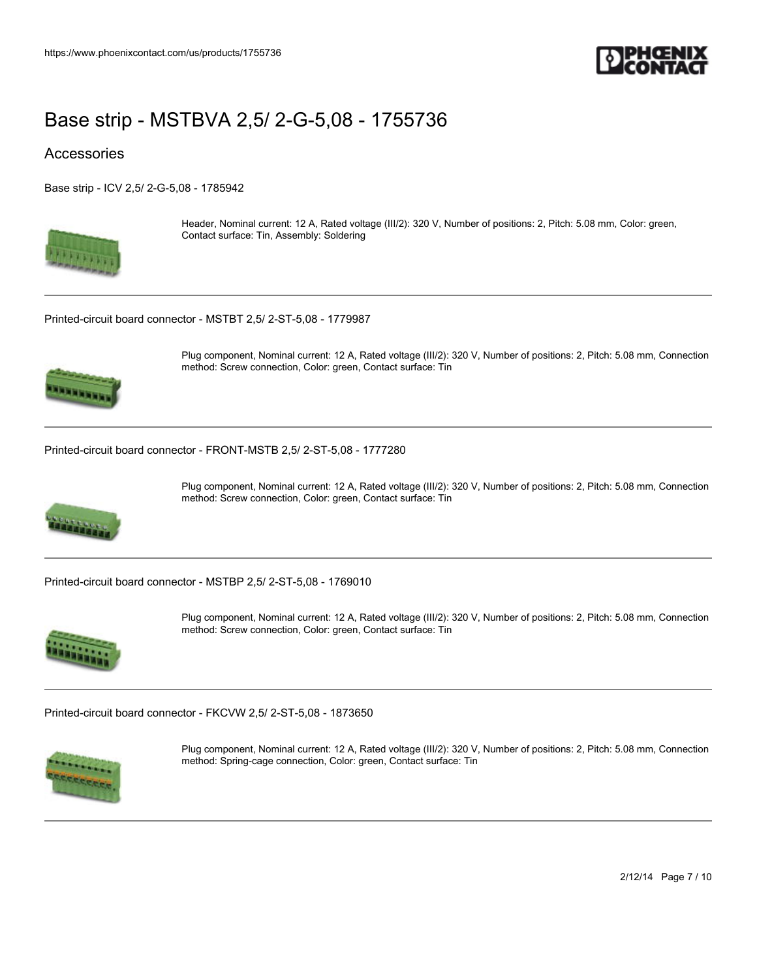

### **Accessories**

[Base strip - ICV 2,5/ 2-G-5,08 - 1785942](https://www.phoenixcontact.com/us/products/1785942)



Header, Nominal current: 12 A, Rated voltage (III/2): 320 V, Number of positions: 2, Pitch: 5.08 mm, Color: green, Contact surface: Tin, Assembly: Soldering

[Printed-circuit board connector - MSTBT 2,5/ 2-ST-5,08 - 1779987](https://www.phoenixcontact.com/us/products/1779987)



Plug component, Nominal current: 12 A, Rated voltage (III/2): 320 V, Number of positions: 2, Pitch: 5.08 mm, Connection method: Screw connection, Color: green, Contact surface: Tin

[Printed-circuit board connector - FRONT-MSTB 2,5/ 2-ST-5,08 - 1777280](https://www.phoenixcontact.com/us/products/1777280)



Plug component, Nominal current: 12 A, Rated voltage (III/2): 320 V, Number of positions: 2, Pitch: 5.08 mm, Connection method: Screw connection, Color: green, Contact surface: Tin

[Printed-circuit board connector - MSTBP 2,5/ 2-ST-5,08 - 1769010](https://www.phoenixcontact.com/us/products/1769010)



Plug component, Nominal current: 12 A, Rated voltage (III/2): 320 V, Number of positions: 2, Pitch: 5.08 mm, Connection method: Screw connection, Color: green, Contact surface: Tin

[Printed-circuit board connector - FKCVW 2,5/ 2-ST-5,08 - 1873650](https://www.phoenixcontact.com/us/products/1873650)



Plug component, Nominal current: 12 A, Rated voltage (III/2): 320 V, Number of positions: 2, Pitch: 5.08 mm, Connection method: Spring-cage connection, Color: green, Contact surface: Tin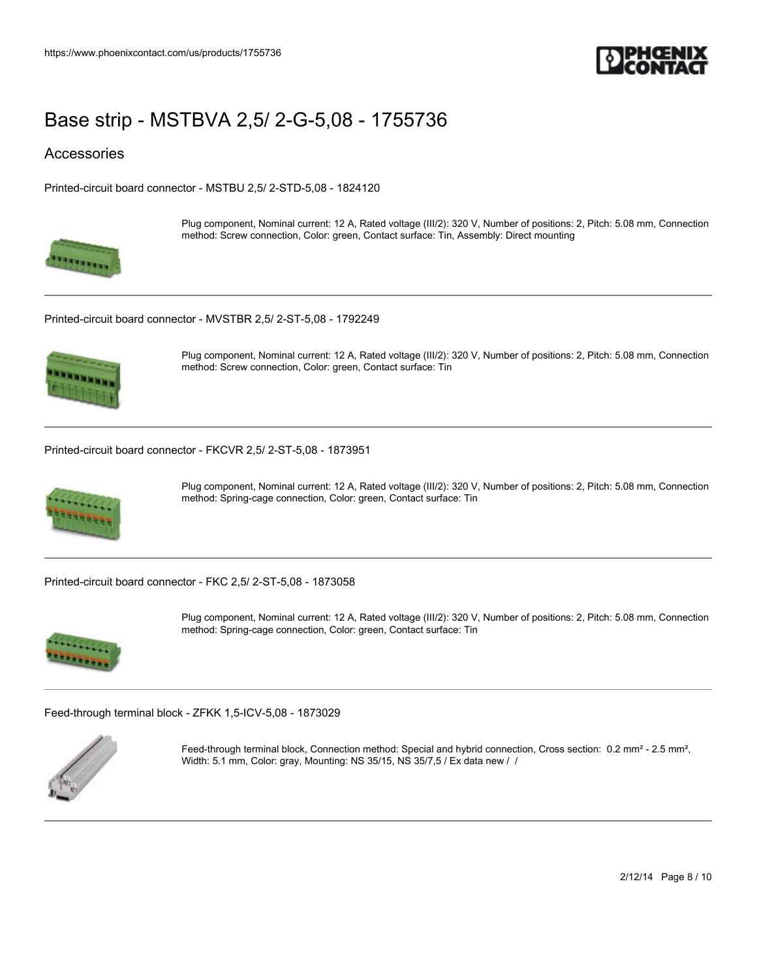

### Accessories

[Printed-circuit board connector - MSTBU 2,5/ 2-STD-5,08 - 1824120](https://www.phoenixcontact.com/us/products/1824120)



Plug component, Nominal current: 12 A, Rated voltage (III/2): 320 V, Number of positions: 2, Pitch: 5.08 mm, Connection method: Screw connection, Color: green, Contact surface: Tin, Assembly: Direct mounting

[Printed-circuit board connector - MVSTBR 2,5/ 2-ST-5,08 - 1792249](https://www.phoenixcontact.com/us/products/1792249)



Plug component, Nominal current: 12 A, Rated voltage (III/2): 320 V, Number of positions: 2, Pitch: 5.08 mm, Connection method: Screw connection, Color: green, Contact surface: Tin

[Printed-circuit board connector - FKCVR 2,5/ 2-ST-5,08 - 1873951](https://www.phoenixcontact.com/us/products/1873951)



Plug component, Nominal current: 12 A, Rated voltage (III/2): 320 V, Number of positions: 2, Pitch: 5.08 mm, Connection method: Spring-cage connection, Color: green, Contact surface: Tin

[Printed-circuit board connector - FKC 2,5/ 2-ST-5,08 - 1873058](https://www.phoenixcontact.com/us/products/1873058)



Plug component, Nominal current: 12 A, Rated voltage (III/2): 320 V, Number of positions: 2, Pitch: 5.08 mm, Connection method: Spring-cage connection, Color: green, Contact surface: Tin

[Feed-through terminal block - ZFKK 1,5-ICV-5,08 - 1873029](https://www.phoenixcontact.com/us/products/1873029)



Feed-through terminal block, Connection method: Special and hybrid connection, Cross section: 0.2 mm<sup>2</sup> - 2.5 mm<sup>2</sup>, Width: 5.1 mm, Color: gray, Mounting: NS 35/15, NS 35/7,5 / Ex data new / /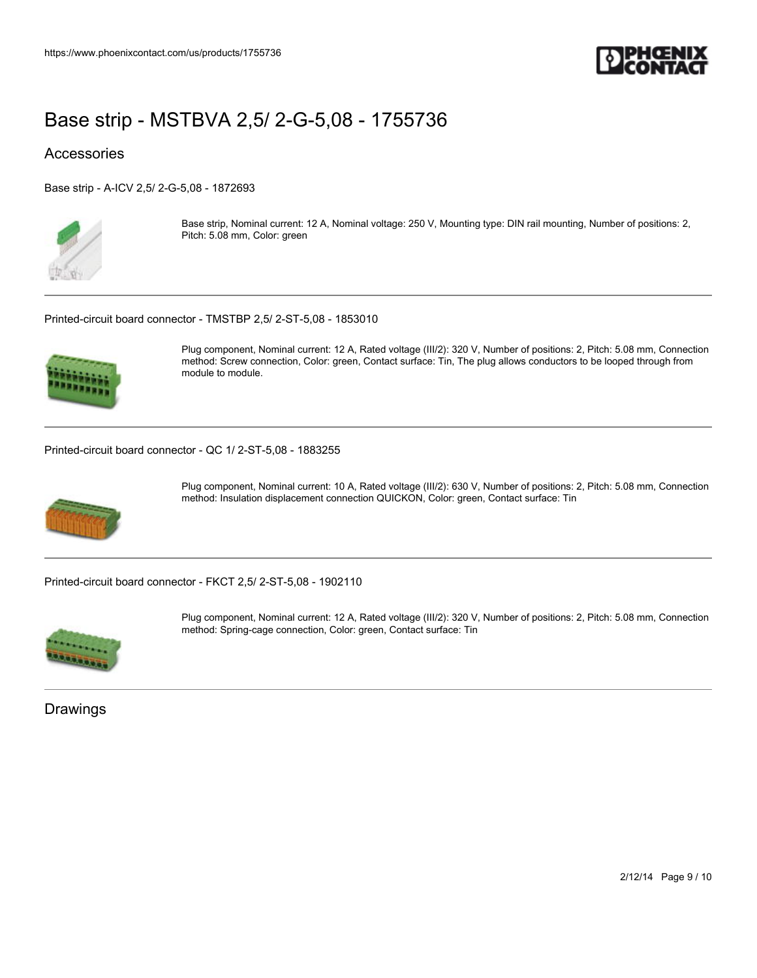

## **Accessories**

[Base strip - A-ICV 2,5/ 2-G-5,08 - 1872693](https://www.phoenixcontact.com/us/products/1872693)



Base strip, Nominal current: 12 A, Nominal voltage: 250 V, Mounting type: DIN rail mounting, Number of positions: 2, Pitch: 5.08 mm, Color: green

[Printed-circuit board connector - TMSTBP 2,5/ 2-ST-5,08 - 1853010](https://www.phoenixcontact.com/us/products/1853010)



Plug component, Nominal current: 12 A, Rated voltage (III/2): 320 V, Number of positions: 2, Pitch: 5.08 mm, Connection method: Screw connection, Color: green, Contact surface: Tin, The plug allows conductors to be looped through from module to module.

[Printed-circuit board connector - QC 1/ 2-ST-5,08 - 1883255](https://www.phoenixcontact.com/us/products/1883255)



Plug component, Nominal current: 10 A, Rated voltage (III/2): 630 V, Number of positions: 2, Pitch: 5.08 mm, Connection method: Insulation displacement connection QUICKON, Color: green, Contact surface: Tin

[Printed-circuit board connector - FKCT 2,5/ 2-ST-5,08 - 1902110](https://www.phoenixcontact.com/us/products/1902110)



Plug component, Nominal current: 12 A, Rated voltage (III/2): 320 V, Number of positions: 2, Pitch: 5.08 mm, Connection method: Spring-cage connection, Color: green, Contact surface: Tin

Drawings